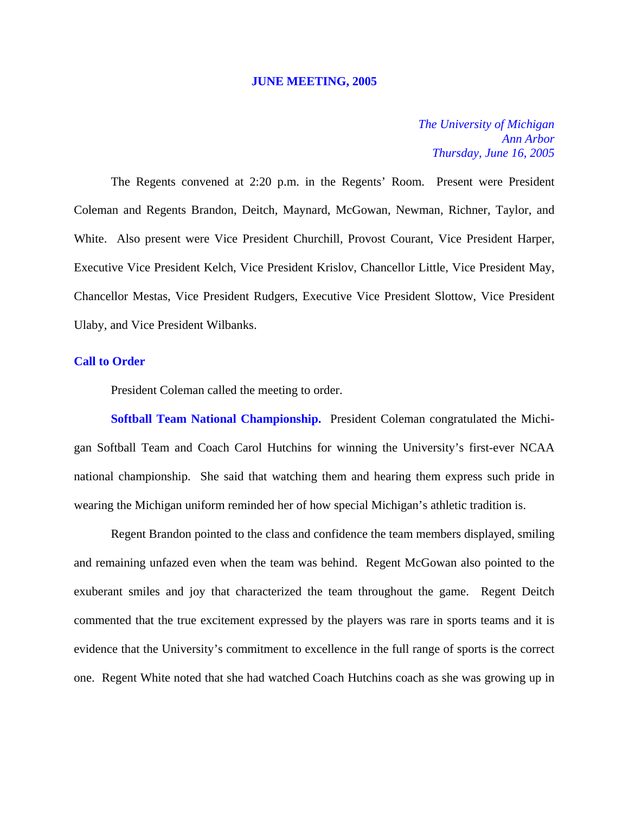#### **JUNE MEETING, 2005**

*The University of Michigan Ann Arbor Thursday, June 16, 2005*

The Regents convened at 2:20 p.m. in the Regents' Room. Present were President Coleman and Regents Brandon, Deitch, Maynard, McGowan, Newman, Richner, Taylor, and White. Also present were Vice President Churchill, Provost Courant, Vice President Harper, Executive Vice President Kelch, Vice President Krislov, Chancellor Little, Vice President May, Chancellor Mestas, Vice President Rudgers, Executive Vice President Slottow, Vice President Ulaby, and Vice President Wilbanks.

# **Call to Order**

President Coleman called the meeting to order.

**Softball Team National Championship.** President Coleman congratulated the Michigan Softball Team and Coach Carol Hutchins for winning the University's first-ever NCAA national championship. She said that watching them and hearing them express such pride in wearing the Michigan uniform reminded her of how special Michigan's athletic tradition is.

Regent Brandon pointed to the class and confidence the team members displayed, smiling and remaining unfazed even when the team was behind. Regent McGowan also pointed to the exuberant smiles and joy that characterized the team throughout the game. Regent Deitch commented that the true excitement expressed by the players was rare in sports teams and it is evidence that the University's commitment to excellence in the full range of sports is the correct one. Regent White noted that she had watched Coach Hutchins coach as she was growing up in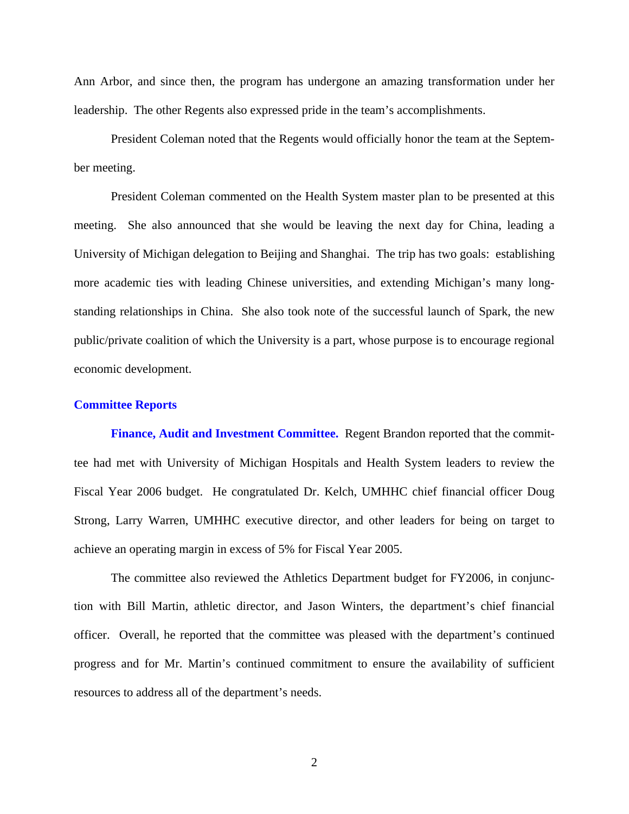Ann Arbor, and since then, the program has undergone an amazing transformation under her leadership. The other Regents also expressed pride in the team's accomplishments.

President Coleman noted that the Regents would officially honor the team at the September meeting.

President Coleman commented on the Health System master plan to be presented at this meeting. She also announced that she would be leaving the next day for China, leading a University of Michigan delegation to Beijing and Shanghai. The trip has two goals: establishing more academic ties with leading Chinese universities, and extending Michigan's many longstanding relationships in China. She also took note of the successful launch of Spark, the new public/private coalition of which the University is a part, whose purpose is to encourage regional economic development.

#### **Committee Reports**

**Finance, Audit and Investment Committee.** Regent Brandon reported that the committee had met with University of Michigan Hospitals and Health System leaders to review the Fiscal Year 2006 budget. He congratulated Dr. Kelch, UMHHC chief financial officer Doug Strong, Larry Warren, UMHHC executive director, and other leaders for being on target to achieve an operating margin in excess of 5% for Fiscal Year 2005.

The committee also reviewed the Athletics Department budget for FY2006, in conjunction with Bill Martin, athletic director, and Jason Winters, the department's chief financial officer. Overall, he reported that the committee was pleased with the department's continued progress and for Mr. Martin's continued commitment to ensure the availability of sufficient resources to address all of the department's needs.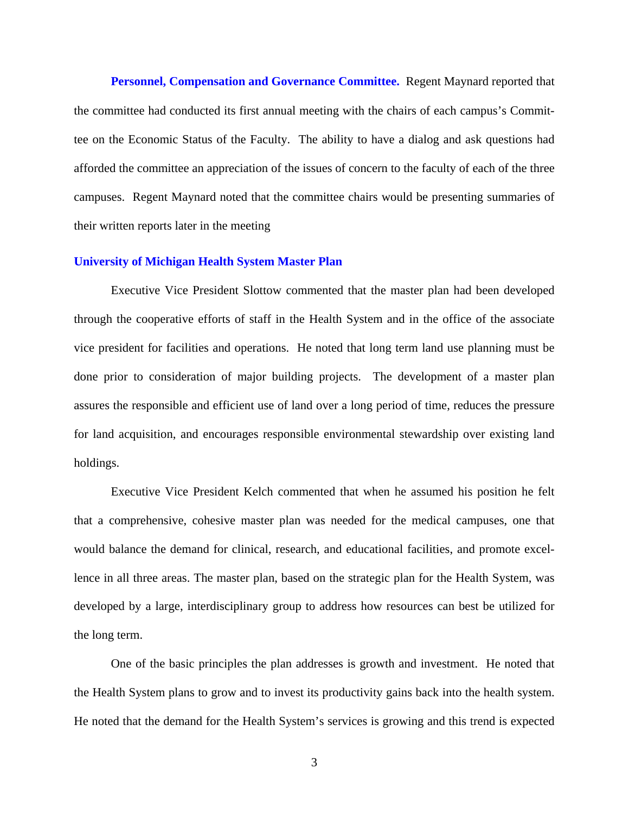**Personnel, Compensation and Governance Committee.** Regent Maynard reported that the committee had conducted its first annual meeting with the chairs of each campus's Committee on the Economic Status of the Faculty. The ability to have a dialog and ask questions had afforded the committee an appreciation of the issues of concern to the faculty of each of the three campuses. Regent Maynard noted that the committee chairs would be presenting summaries of their written reports later in the meeting

### **University of Michigan Health System Master Plan**

Executive Vice President Slottow commented that the master plan had been developed through the cooperative efforts of staff in the Health System and in the office of the associate vice president for facilities and operations. He noted that long term land use planning must be done prior to consideration of major building projects. The development of a master plan assures the responsible and efficient use of land over a long period of time, reduces the pressure for land acquisition, and encourages responsible environmental stewardship over existing land holdings.

Executive Vice President Kelch commented that when he assumed his position he felt that a comprehensive, cohesive master plan was needed for the medical campuses, one that would balance the demand for clinical, research, and educational facilities, and promote excellence in all three areas. The master plan, based on the strategic plan for the Health System, was developed by a large, interdisciplinary group to address how resources can best be utilized for the long term.

One of the basic principles the plan addresses is growth and investment. He noted that the Health System plans to grow and to invest its productivity gains back into the health system. He noted that the demand for the Health System's services is growing and this trend is expected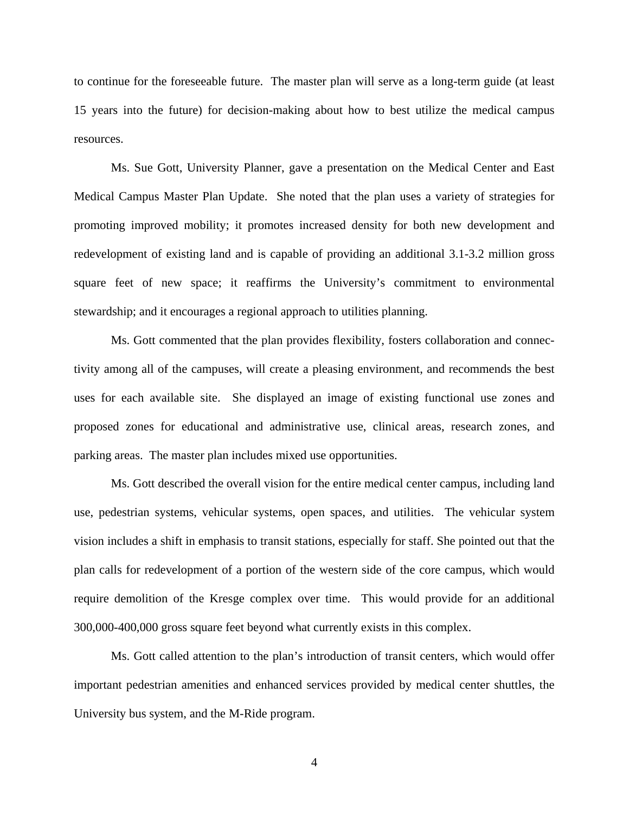to continue for the foreseeable future. The master plan will serve as a long-term guide (at least 15 years into the future) for decision-making about how to best utilize the medical campus resources.

Ms. Sue Gott, University Planner, gave a presentation on the Medical Center and East Medical Campus Master Plan Update. She noted that the plan uses a variety of strategies for promoting improved mobility; it promotes increased density for both new development and redevelopment of existing land and is capable of providing an additional 3.1-3.2 million gross square feet of new space; it reaffirms the University's commitment to environmental stewardship; and it encourages a regional approach to utilities planning.

Ms. Gott commented that the plan provides flexibility, fosters collaboration and connectivity among all of the campuses, will create a pleasing environment, and recommends the best uses for each available site. She displayed an image of existing functional use zones and proposed zones for educational and administrative use, clinical areas, research zones, and parking areas. The master plan includes mixed use opportunities.

Ms. Gott described the overall vision for the entire medical center campus, including land use, pedestrian systems, vehicular systems, open spaces, and utilities. The vehicular system vision includes a shift in emphasis to transit stations, especially for staff. She pointed out that the plan calls for redevelopment of a portion of the western side of the core campus, which would require demolition of the Kresge complex over time. This would provide for an additional 300,000-400,000 gross square feet beyond what currently exists in this complex.

Ms. Gott called attention to the plan's introduction of transit centers, which would offer important pedestrian amenities and enhanced services provided by medical center shuttles, the University bus system, and the M-Ride program.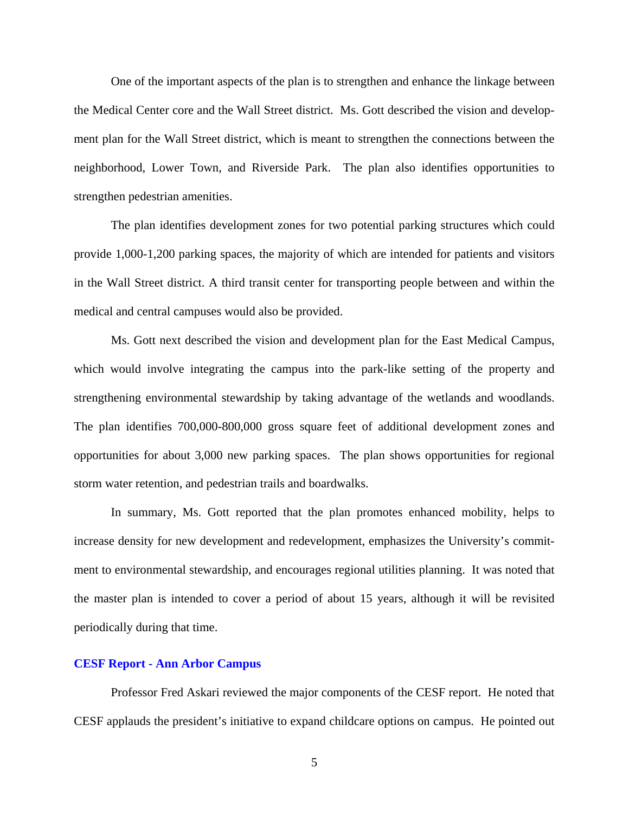One of the important aspects of the plan is to strengthen and enhance the linkage between the Medical Center core and the Wall Street district. Ms. Gott described the vision and development plan for the Wall Street district, which is meant to strengthen the connections between the neighborhood, Lower Town, and Riverside Park. The plan also identifies opportunities to strengthen pedestrian amenities.

The plan identifies development zones for two potential parking structures which could provide 1,000-1,200 parking spaces, the majority of which are intended for patients and visitors in the Wall Street district. A third transit center for transporting people between and within the medical and central campuses would also be provided.

Ms. Gott next described the vision and development plan for the East Medical Campus, which would involve integrating the campus into the park-like setting of the property and strengthening environmental stewardship by taking advantage of the wetlands and woodlands. The plan identifies 700,000-800,000 gross square feet of additional development zones and opportunities for about 3,000 new parking spaces. The plan shows opportunities for regional storm water retention, and pedestrian trails and boardwalks.

In summary, Ms. Gott reported that the plan promotes enhanced mobility, helps to increase density for new development and redevelopment, emphasizes the University's commitment to environmental stewardship, and encourages regional utilities planning. It was noted that the master plan is intended to cover a period of about 15 years, although it will be revisited periodically during that time.

# **CESF Report - Ann Arbor Campus**

Professor Fred Askari reviewed the major components of the CESF report. He noted that CESF applauds the president's initiative to expand childcare options on campus. He pointed out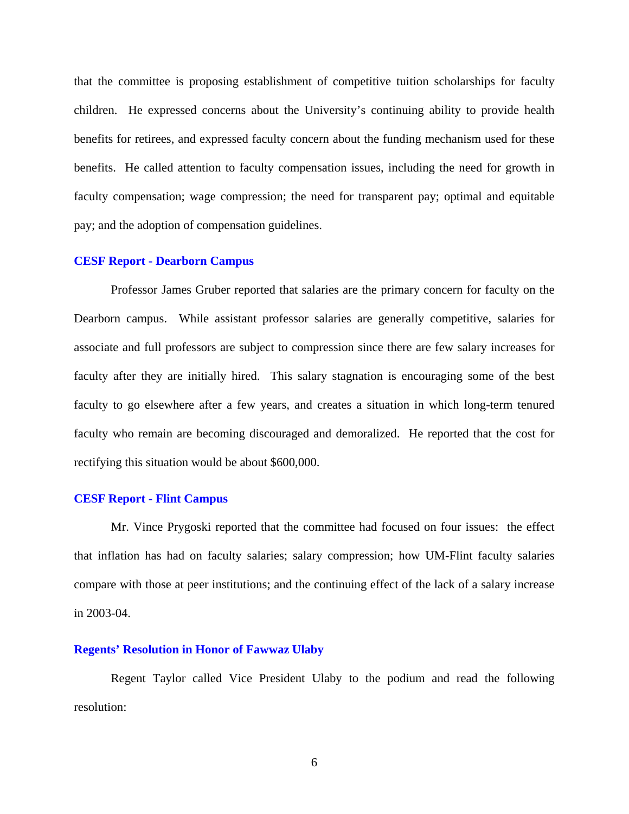that the committee is proposing establishment of competitive tuition scholarships for faculty children. He expressed concerns about the University's continuing ability to provide health benefits for retirees, and expressed faculty concern about the funding mechanism used for these benefits. He called attention to faculty compensation issues, including the need for growth in faculty compensation; wage compression; the need for transparent pay; optimal and equitable pay; and the adoption of compensation guidelines.

#### **CESF Report - Dearborn Campus**

Professor James Gruber reported that salaries are the primary concern for faculty on the Dearborn campus. While assistant professor salaries are generally competitive, salaries for associate and full professors are subject to compression since there are few salary increases for faculty after they are initially hired. This salary stagnation is encouraging some of the best faculty to go elsewhere after a few years, and creates a situation in which long-term tenured faculty who remain are becoming discouraged and demoralized. He reported that the cost for rectifying this situation would be about \$600,000.

### **CESF Report - Flint Campus**

Mr. Vince Prygoski reported that the committee had focused on four issues: the effect that inflation has had on faculty salaries; salary compression; how UM-Flint faculty salaries compare with those at peer institutions; and the continuing effect of the lack of a salary increase in 2003-04.

## **Regents' Resolution in Honor of Fawwaz Ulaby**

Regent Taylor called Vice President Ulaby to the podium and read the following resolution: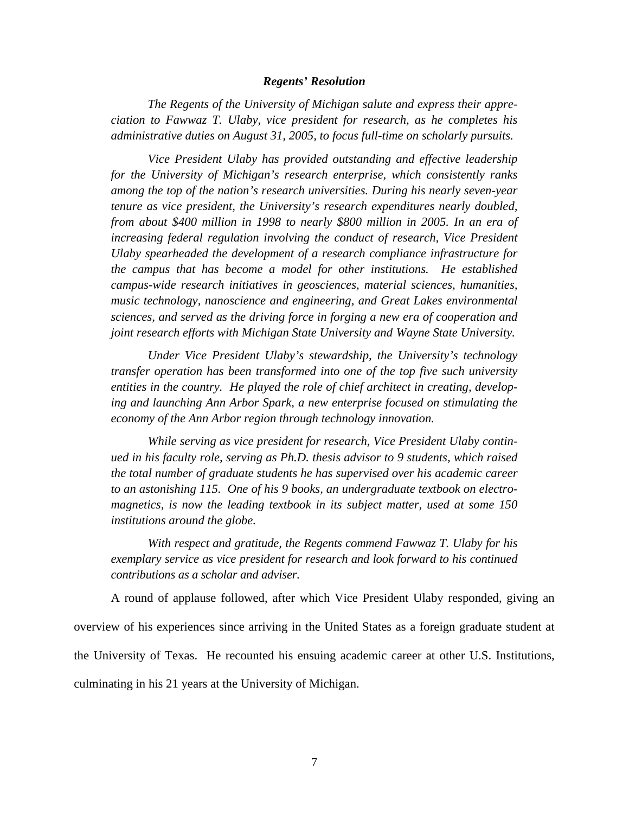#### *Regents' Resolution*

*The Regents of the University of Michigan salute and express their appreciation to Fawwaz T. Ulaby, vice president for research, as he completes his administrative duties on August 31, 2005, to focus full-time on scholarly pursuits.* 

*Vice President Ulaby has provided outstanding and effective leadership for the University of Michigan's research enterprise, which consistently ranks among the top of the nation's research universities. During his nearly seven-year tenure as vice president, the University's research expenditures nearly doubled, from about \$400 million in 1998 to nearly \$800 million in 2005. In an era of increasing federal regulation involving the conduct of research, Vice President Ulaby spearheaded the development of a research compliance infrastructure for the campus that has become a model for other institutions. He established campus-wide research initiatives in geosciences, material sciences, humanities, music technology, nanoscience and engineering, and Great Lakes environmental sciences, and served as the driving force in forging a new era of cooperation and joint research efforts with Michigan State University and Wayne State University.*

*Under Vice President Ulaby's stewardship, the University's technology transfer operation has been transformed into one of the top five such university entities in the country. He played the role of chief architect in creating, developing and launching Ann Arbor Spark, a new enterprise focused on stimulating the economy of the Ann Arbor region through technology innovation.*

*While serving as vice president for research, Vice President Ulaby continued in his faculty role, serving as Ph.D. thesis advisor to 9 students, which raised the total number of graduate students he has supervised over his academic career to an astonishing 115. One of his 9 books, an undergraduate textbook on electromagnetics, is now the leading textbook in its subject matter, used at some 150 institutions around the globe.* 

*With respect and gratitude, the Regents commend Fawwaz T. Ulaby for his exemplary service as vice president for research and look forward to his continued contributions as a scholar and adviser.*

A round of applause followed, after which Vice President Ulaby responded, giving an overview of his experiences since arriving in the United States as a foreign graduate student at the University of Texas. He recounted his ensuing academic career at other U.S. Institutions, culminating in his 21 years at the University of Michigan.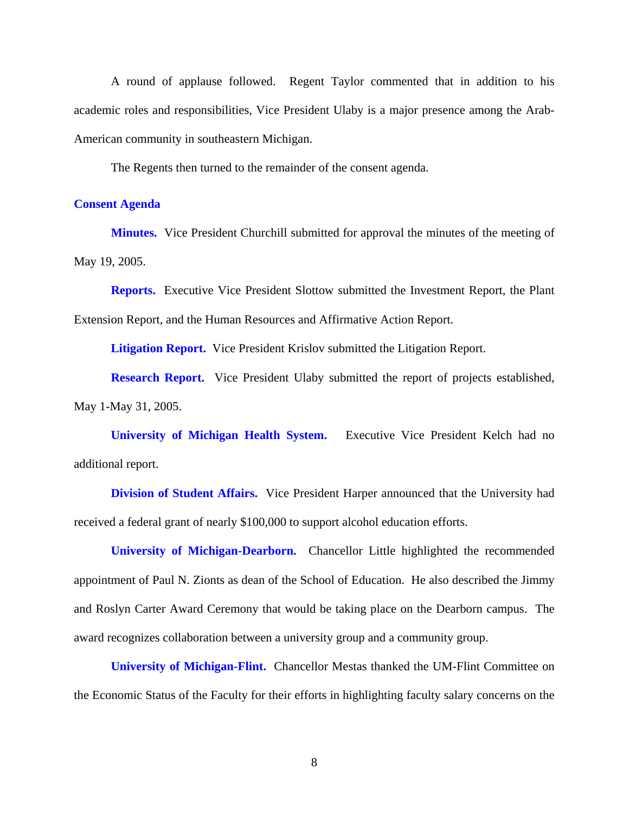A round of applause followed. Regent Taylor commented that in addition to his academic roles and responsibilities, Vice President Ulaby is a major presence among the Arab-American community in southeastern Michigan.

The Regents then turned to the remainder of the consent agenda.

# **Consent Agenda**

**Minutes.** Vice President Churchill submitted for approval the minutes of the meeting of May 19, 2005.

**Reports.** Executive Vice President Slottow submitted the Investment Report, the Plant Extension Report, and the Human Resources and Affirmative Action Report.

**Litigation Report.** Vice President Krislov submitted the Litigation Report.

**Research Report.** Vice President Ulaby submitted the report of projects established, May 1-May 31, 2005.

**University of Michigan Health System.** Executive Vice President Kelch had no additional report.

**Division of Student Affairs.** Vice President Harper announced that the University had received a federal grant of nearly \$100,000 to support alcohol education efforts.

**University of Michigan-Dearborn.** Chancellor Little highlighted the recommended appointment of Paul N. Zionts as dean of the School of Education. He also described the Jimmy and Roslyn Carter Award Ceremony that would be taking place on the Dearborn campus. The award recognizes collaboration between a university group and a community group.

**University of Michigan-Flint.** Chancellor Mestas thanked the UM-Flint Committee on the Economic Status of the Faculty for their efforts in highlighting faculty salary concerns on the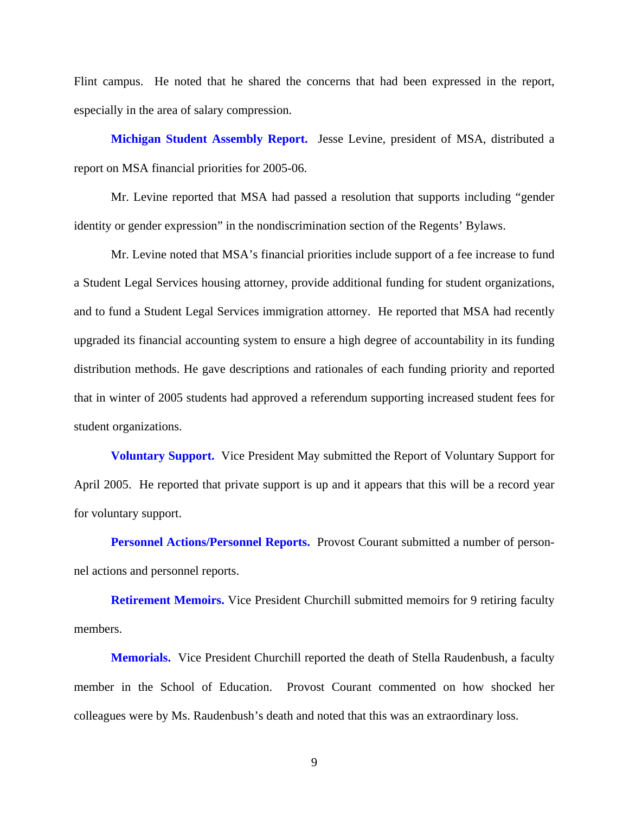Flint campus. He noted that he shared the concerns that had been expressed in the report, especially in the area of salary compression.

**Michigan Student Assembly Report.** Jesse Levine, president of MSA, distributed a report on MSA financial priorities for 2005-06.

Mr. Levine reported that MSA had passed a resolution that supports including "gender identity or gender expression" in the nondiscrimination section of the Regents' Bylaws.

Mr. Levine noted that MSA's financial priorities include support of a fee increase to fund a Student Legal Services housing attorney, provide additional funding for student organizations, and to fund a Student Legal Services immigration attorney. He reported that MSA had recently upgraded its financial accounting system to ensure a high degree of accountability in its funding distribution methods. He gave descriptions and rationales of each funding priority and reported that in winter of 2005 students had approved a referendum supporting increased student fees for student organizations.

**Voluntary Support.** Vice President May submitted the Report of Voluntary Support for April 2005. He reported that private support is up and it appears that this will be a record year for voluntary support.

**Personnel Actions/Personnel Reports.** Provost Courant submitted a number of personnel actions and personnel reports.

**Retirement Memoirs.** Vice President Churchill submitted memoirs for 9 retiring faculty members.

**Memorials.** Vice President Churchill reported the death of Stella Raudenbush, a faculty member in the School of Education. Provost Courant commented on how shocked her colleagues were by Ms. Raudenbush's death and noted that this was an extraordinary loss.

9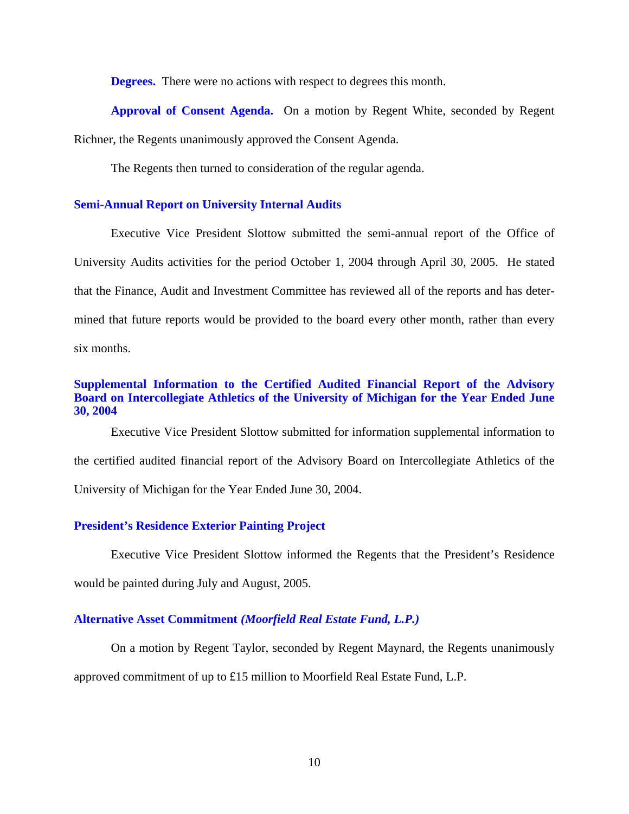**Degrees.** There were no actions with respect to degrees this month.

**Approval of Consent Agenda.** On a motion by Regent White, seconded by Regent Richner, the Regents unanimously approved the Consent Agenda.

The Regents then turned to consideration of the regular agenda.

## **Semi-Annual Report on University Internal Audits**

Executive Vice President Slottow submitted the semi-annual report of the Office of University Audits activities for the period October 1, 2004 through April 30, 2005. He stated that the Finance, Audit and Investment Committee has reviewed all of the reports and has determined that future reports would be provided to the board every other month, rather than every six months.

# **Supplemental Information to the Certified Audited Financial Report of the Advisory Board on Intercollegiate Athletics of the University of Michigan for the Year Ended June 30, 2004**

Executive Vice President Slottow submitted for information supplemental information to the certified audited financial report of the Advisory Board on Intercollegiate Athletics of the University of Michigan for the Year Ended June 30, 2004.

## **President's Residence Exterior Painting Project**

Executive Vice President Slottow informed the Regents that the President's Residence would be painted during July and August, 2005.

# **Alternative Asset Commitment** *(Moorfield Real Estate Fund, L.P.)*

On a motion by Regent Taylor, seconded by Regent Maynard, the Regents unanimously

approved commitment of up to £15 million to Moorfield Real Estate Fund, L.P.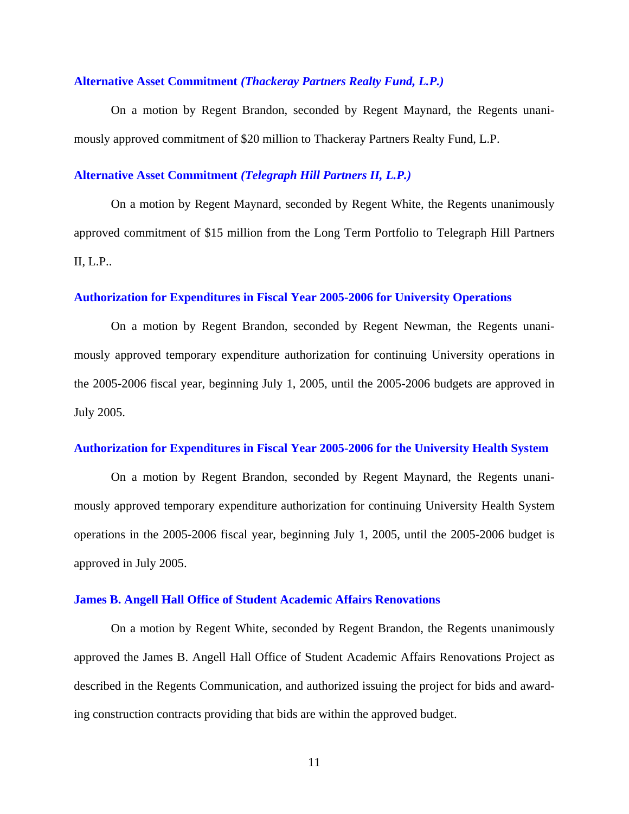### **Alternative Asset Commitment** *(Thackeray Partners Realty Fund, L.P.)*

On a motion by Regent Brandon, seconded by Regent Maynard, the Regents unanimously approved commitment of \$20 million to Thackeray Partners Realty Fund, L.P.

# **Alternative Asset Commitment** *(Telegraph Hill Partners II, L.P.)*

On a motion by Regent Maynard, seconded by Regent White, the Regents unanimously approved commitment of \$15 million from the Long Term Portfolio to Telegraph Hill Partners II, L.P..

### **Authorization for Expenditures in Fiscal Year 2005-2006 for University Operations**

On a motion by Regent Brandon, seconded by Regent Newman, the Regents unanimously approved temporary expenditure authorization for continuing University operations in the 2005-2006 fiscal year, beginning July 1, 2005, until the 2005-2006 budgets are approved in July 2005.

### **Authorization for Expenditures in Fiscal Year 2005-2006 for the University Health System**

On a motion by Regent Brandon, seconded by Regent Maynard, the Regents unanimously approved temporary expenditure authorization for continuing University Health System operations in the 2005-2006 fiscal year, beginning July 1, 2005, until the 2005-2006 budget is approved in July 2005.

### **James B. Angell Hall Office of Student Academic Affairs Renovations**

On a motion by Regent White, seconded by Regent Brandon, the Regents unanimously approved the James B. Angell Hall Office of Student Academic Affairs Renovations Project as described in the Regents Communication, and authorized issuing the project for bids and awarding construction contracts providing that bids are within the approved budget.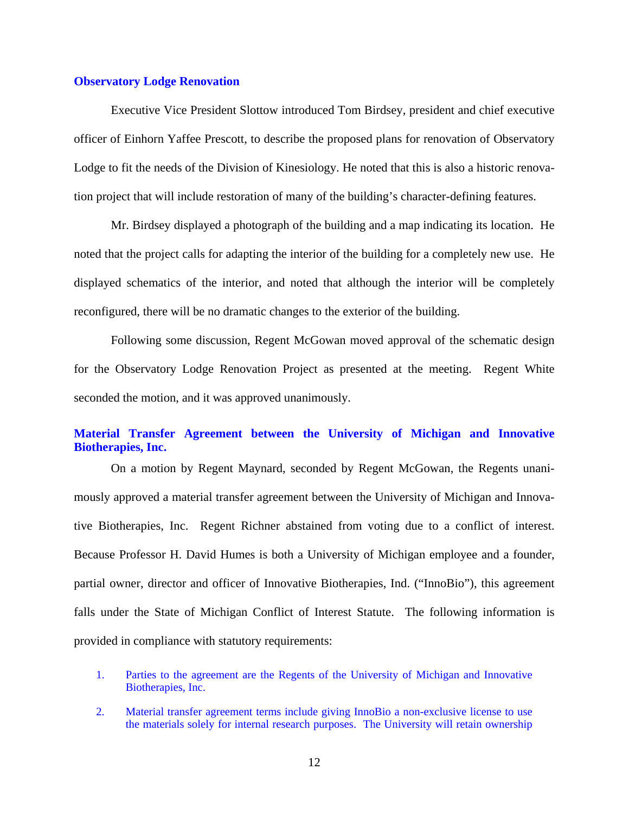### **Observatory Lodge Renovation**

Executive Vice President Slottow introduced Tom Birdsey, president and chief executive officer of Einhorn Yaffee Prescott, to describe the proposed plans for renovation of Observatory Lodge to fit the needs of the Division of Kinesiology. He noted that this is also a historic renovation project that will include restoration of many of the building's character-defining features.

Mr. Birdsey displayed a photograph of the building and a map indicating its location. He noted that the project calls for adapting the interior of the building for a completely new use. He displayed schematics of the interior, and noted that although the interior will be completely reconfigured, there will be no dramatic changes to the exterior of the building.

Following some discussion, Regent McGowan moved approval of the schematic design for the Observatory Lodge Renovation Project as presented at the meeting. Regent White seconded the motion, and it was approved unanimously.

# **Material Transfer Agreement between the University of Michigan and Innovative Biotherapies, Inc.**

On a motion by Regent Maynard, seconded by Regent McGowan, the Regents unanimously approved a material transfer agreement between the University of Michigan and Innovative Biotherapies, Inc. Regent Richner abstained from voting due to a conflict of interest. Because Professor H. David Humes is both a University of Michigan employee and a founder, partial owner, director and officer of Innovative Biotherapies, Ind. ("InnoBio"), this agreement falls under the State of Michigan Conflict of Interest Statute. The following information is provided in compliance with statutory requirements:

- 1. Parties to the agreement are the Regents of the University of Michigan and Innovative Biotherapies, Inc.
- 2. Material transfer agreement terms include giving InnoBio a non-exclusive license to use the materials solely for internal research purposes. The University will retain ownership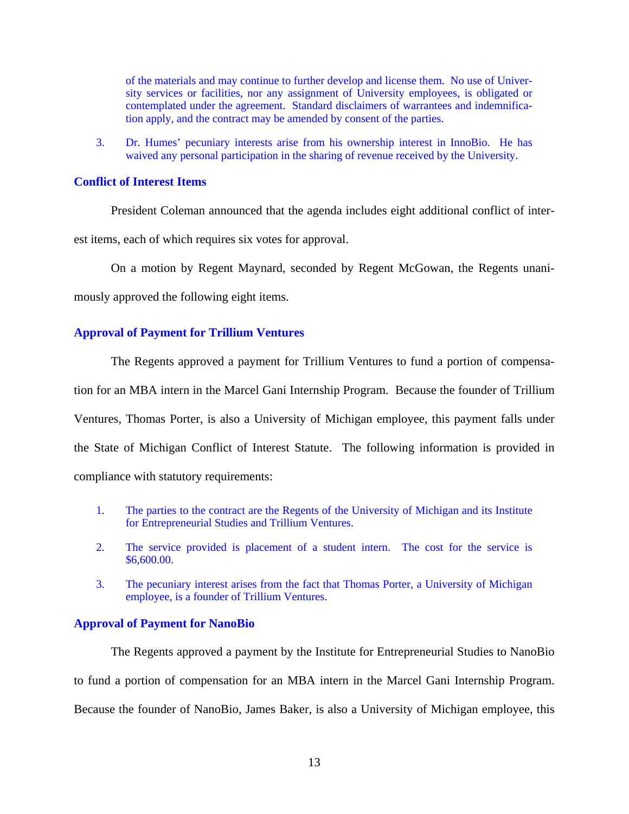of the materials and may continue to further develop and license them. No use of University services or facilities, nor any assignment of University employees, is obligated or contemplated under the agreement. Standard disclaimers of warrantees and indemnification apply, and the contract may be amended by consent of the parties.

3. Dr. Humes' pecuniary interests arise from his ownership interest in InnoBio. He has waived any personal participation in the sharing of revenue received by the University.

### **Conflict of Interest Items**

President Coleman announced that the agenda includes eight additional conflict of inter-

est items, each of which requires six votes for approval.

On a motion by Regent Maynard, seconded by Regent McGowan, the Regents unani-

mously approved the following eight items.

## **Approval of Payment for Trillium Ventures**

The Regents approved a payment for Trillium Ventures to fund a portion of compensation for an MBA intern in the Marcel Gani Internship Program. Because the founder of Trillium Ventures, Thomas Porter, is also a University of Michigan employee, this payment falls under

the State of Michigan Conflict of Interest Statute. The following information is provided in

compliance with statutory requirements:

- 1. The parties to the contract are the Regents of the University of Michigan and its Institute for Entrepreneurial Studies and Trillium Ventures.
- 2. The service provided is placement of a student intern. The cost for the service is \$6,600.00.
- 3. The pecuniary interest arises from the fact that Thomas Porter, a University of Michigan employee, is a founder of Trillium Ventures.

## **Approval of Payment for NanoBio**

The Regents approved a payment by the Institute for Entrepreneurial Studies to NanoBio to fund a portion of compensation for an MBA intern in the Marcel Gani Internship Program. Because the founder of NanoBio, James Baker, is also a University of Michigan employee, this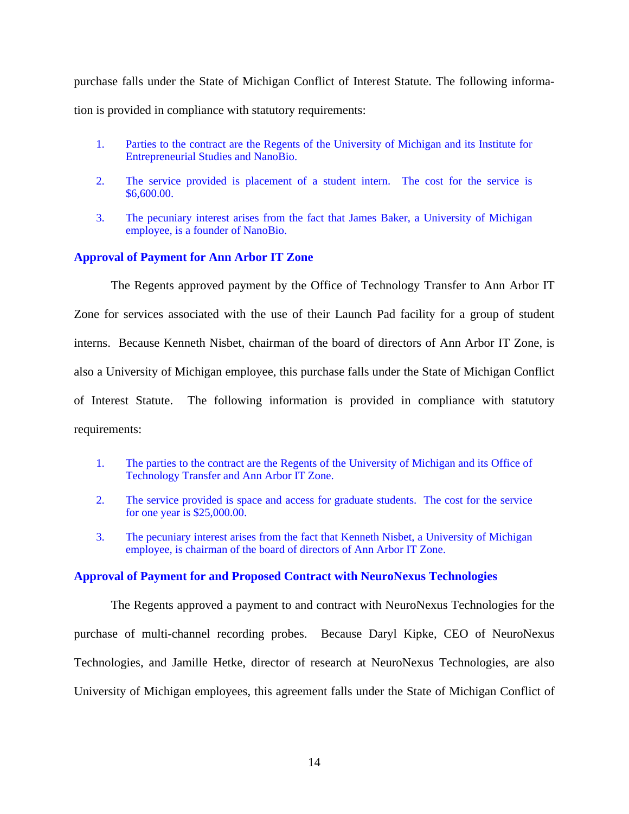purchase falls under the State of Michigan Conflict of Interest Statute. The following information is provided in compliance with statutory requirements:

- 1. Parties to the contract are the Regents of the University of Michigan and its Institute for Entrepreneurial Studies and NanoBio.
- 2. The service provided is placement of a student intern. The cost for the service is \$6,600.00.
- 3. The pecuniary interest arises from the fact that James Baker, a University of Michigan employee, is a founder of NanoBio.

# **Approval of Payment for Ann Arbor IT Zone**

The Regents approved payment by the Office of Technology Transfer to Ann Arbor IT Zone for services associated with the use of their Launch Pad facility for a group of student interns. Because Kenneth Nisbet, chairman of the board of directors of Ann Arbor IT Zone, is also a University of Michigan employee, this purchase falls under the State of Michigan Conflict of Interest Statute. The following information is provided in compliance with statutory requirements:

- 1. The parties to the contract are the Regents of the University of Michigan and its Office of Technology Transfer and Ann Arbor IT Zone.
- 2. The service provided is space and access for graduate students. The cost for the service for one year is \$25,000.00.
- 3. The pecuniary interest arises from the fact that Kenneth Nisbet, a University of Michigan employee, is chairman of the board of directors of Ann Arbor IT Zone.

## **Approval of Payment for and Proposed Contract with NeuroNexus Technologies**

The Regents approved a payment to and contract with NeuroNexus Technologies for the purchase of multi-channel recording probes. Because Daryl Kipke, CEO of NeuroNexus Technologies, and Jamille Hetke, director of research at NeuroNexus Technologies, are also University of Michigan employees, this agreement falls under the State of Michigan Conflict of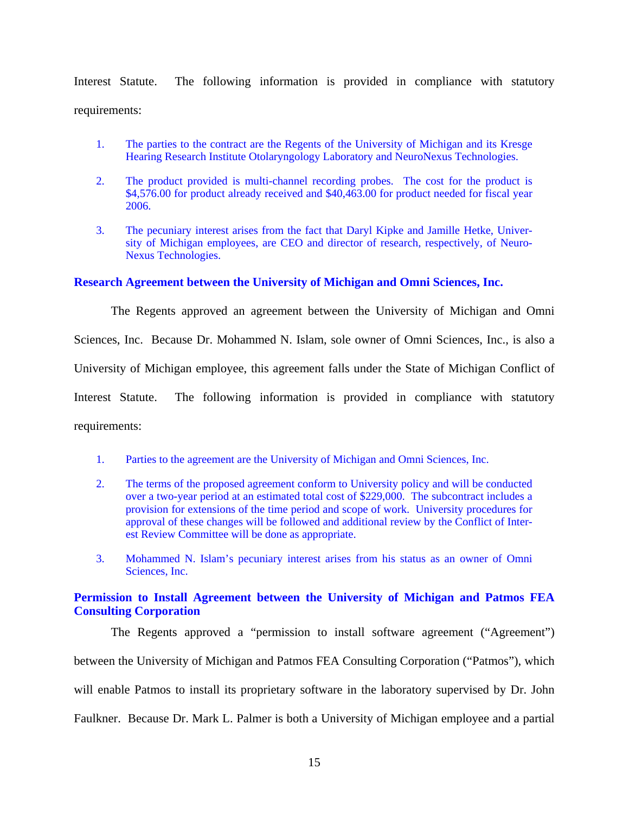Interest Statute. The following information is provided in compliance with statutory requirements:

- 1. The parties to the contract are the Regents of the University of Michigan and its Kresge Hearing Research Institute Otolaryngology Laboratory and NeuroNexus Technologies.
- 2. The product provided is multi-channel recording probes. The cost for the product is \$4,576.00 for product already received and \$40,463.00 for product needed for fiscal year 2006.
- 3. The pecuniary interest arises from the fact that Daryl Kipke and Jamille Hetke, University of Michigan employees, are CEO and director of research, respectively, of Neuro-Nexus Technologies.

# **Research Agreement between the University of Michigan and Omni Sciences, Inc.**

The Regents approved an agreement between the University of Michigan and Omni Sciences, Inc. Because Dr. Mohammed N. Islam, sole owner of Omni Sciences, Inc., is also a University of Michigan employee, this agreement falls under the State of Michigan Conflict of Interest Statute. The following information is provided in compliance with statutory requirements:

- 1. Parties to the agreement are the University of Michigan and Omni Sciences, Inc.
- 2. The terms of the proposed agreement conform to University policy and will be conducted over a two-year period at an estimated total cost of \$229,000. The subcontract includes a provision for extensions of the time period and scope of work. University procedures for approval of these changes will be followed and additional review by the Conflict of Interest Review Committee will be done as appropriate.
- 3. Mohammed N. Islam's pecuniary interest arises from his status as an owner of Omni Sciences, Inc.

# **Permission to Install Agreement between the University of Michigan and Patmos FEA Consulting Corporation**

The Regents approved a "permission to install software agreement ("Agreement") between the University of Michigan and Patmos FEA Consulting Corporation ("Patmos"), which will enable Patmos to install its proprietary software in the laboratory supervised by Dr. John Faulkner. Because Dr. Mark L. Palmer is both a University of Michigan employee and a partial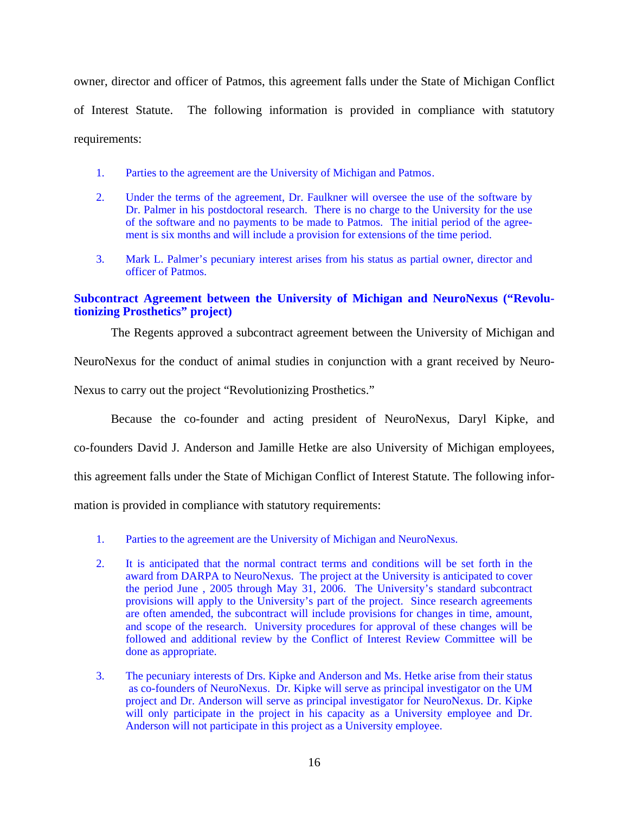owner, director and officer of Patmos, this agreement falls under the State of Michigan Conflict of Interest Statute. The following information is provided in compliance with statutory requirements:

- 1. Parties to the agreement are the University of Michigan and Patmos.
- 2. Under the terms of the agreement, Dr. Faulkner will oversee the use of the software by Dr. Palmer in his postdoctoral research. There is no charge to the University for the use of the software and no payments to be made to Patmos. The initial period of the agreement is six months and will include a provision for extensions of the time period.
- 3. Mark L. Palmer's pecuniary interest arises from his status as partial owner, director and officer of Patmos.

# **Subcontract Agreement between the University of Michigan and NeuroNexus ("Revolutionizing Prosthetics" project)**

The Regents approved a subcontract agreement between the University of Michigan and

NeuroNexus for the conduct of animal studies in conjunction with a grant received by Neuro-

Nexus to carry out the project "Revolutionizing Prosthetics."

Because the co-founder and acting president of NeuroNexus, Daryl Kipke, and

co-founders David J. Anderson and Jamille Hetke are also University of Michigan employees,

this agreement falls under the State of Michigan Conflict of Interest Statute. The following infor-

mation is provided in compliance with statutory requirements:

- 1. Parties to the agreement are the University of Michigan and NeuroNexus.
- 2. It is anticipated that the normal contract terms and conditions will be set forth in the award from DARPA to NeuroNexus. The project at the University is anticipated to cover the period June , 2005 through May 31, 2006. The University's standard subcontract provisions will apply to the University's part of the project. Since research agreements are often amended, the subcontract will include provisions for changes in time, amount, and scope of the research. University procedures for approval of these changes will be followed and additional review by the Conflict of Interest Review Committee will be done as appropriate.
- 3. The pecuniary interests of Drs. Kipke and Anderson and Ms. Hetke arise from their status as co-founders of NeuroNexus. Dr. Kipke will serve as principal investigator on the UM project and Dr. Anderson will serve as principal investigator for NeuroNexus. Dr. Kipke will only participate in the project in his capacity as a University employee and Dr. Anderson will not participate in this project as a University employee.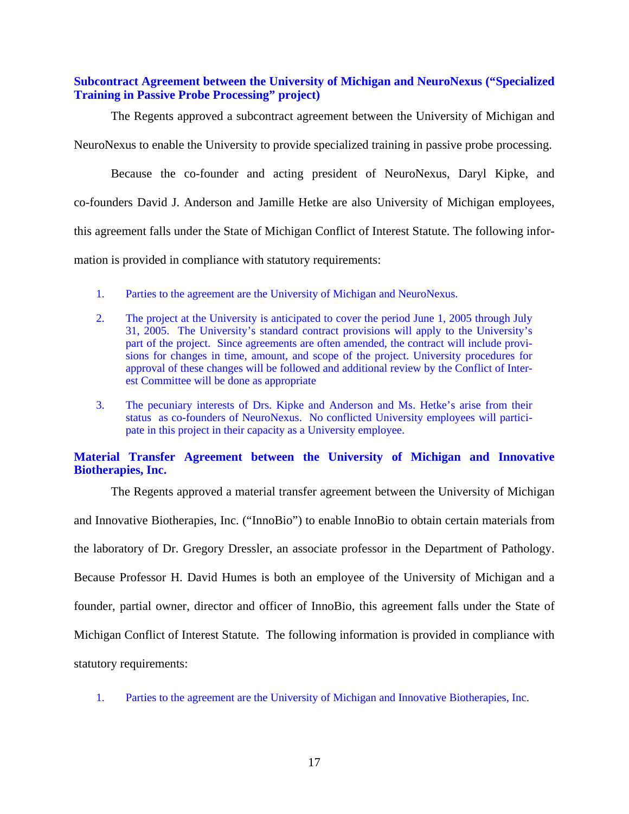# **Subcontract Agreement between the University of Michigan and NeuroNexus ("Specialized Training in Passive Probe Processing" project)**

The Regents approved a subcontract agreement between the University of Michigan and NeuroNexus to enable the University to provide specialized training in passive probe processing.

Because the co-founder and acting president of NeuroNexus, Daryl Kipke, and co-founders David J. Anderson and Jamille Hetke are also University of Michigan employees, this agreement falls under the State of Michigan Conflict of Interest Statute. The following information is provided in compliance with statutory requirements:

- 1. Parties to the agreement are the University of Michigan and NeuroNexus.
- 2. The project at the University is anticipated to cover the period June 1, 2005 through July 31, 2005. The University's standard contract provisions will apply to the University's part of the project. Since agreements are often amended, the contract will include provisions for changes in time, amount, and scope of the project. University procedures for approval of these changes will be followed and additional review by the Conflict of Interest Committee will be done as appropriate
- 3. The pecuniary interests of Drs. Kipke and Anderson and Ms. Hetke's arise from their status as co-founders of NeuroNexus. No conflicted University employees will participate in this project in their capacity as a University employee.

# **Material Transfer Agreement between the University of Michigan and Innovative Biotherapies, Inc.**

The Regents approved a material transfer agreement between the University of Michigan and Innovative Biotherapies, Inc. ("InnoBio") to enable InnoBio to obtain certain materials from the laboratory of Dr. Gregory Dressler, an associate professor in the Department of Pathology. Because Professor H. David Humes is both an employee of the University of Michigan and a founder, partial owner, director and officer of InnoBio, this agreement falls under the State of Michigan Conflict of Interest Statute. The following information is provided in compliance with statutory requirements:

1. Parties to the agreement are the University of Michigan and Innovative Biotherapies, Inc.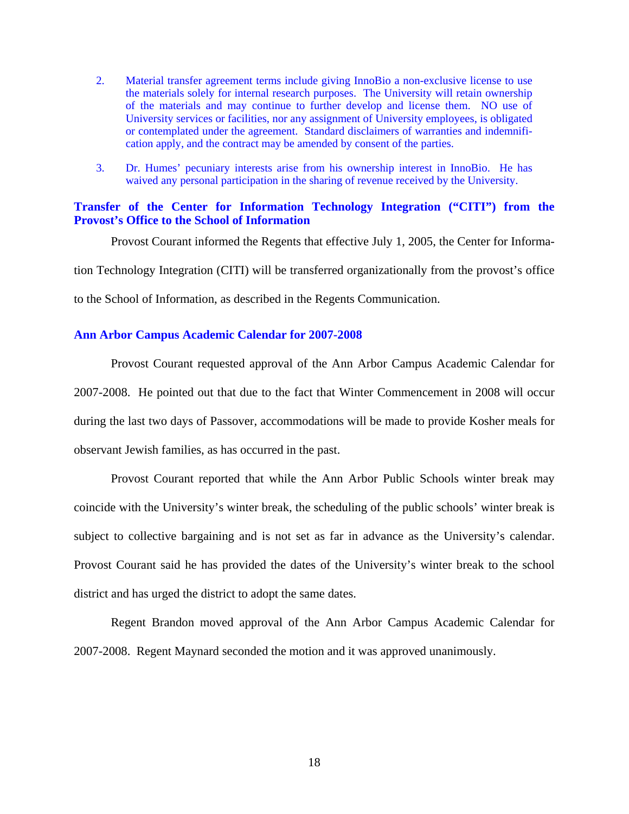- 2. Material transfer agreement terms include giving InnoBio a non-exclusive license to use the materials solely for internal research purposes. The University will retain ownership of the materials and may continue to further develop and license them. NO use of University services or facilities, nor any assignment of University employees, is obligated or contemplated under the agreement. Standard disclaimers of warranties and indemnification apply, and the contract may be amended by consent of the parties.
- 3. Dr. Humes' pecuniary interests arise from his ownership interest in InnoBio. He has waived any personal participation in the sharing of revenue received by the University.

# **Transfer of the Center for Information Technology Integration ("CITI") from the Provost's Office to the School of Information**

Provost Courant informed the Regents that effective July 1, 2005, the Center for Information Technology Integration (CITI) will be transferred organizationally from the provost's office to the School of Information, as described in the Regents Communication.

# **Ann Arbor Campus Academic Calendar for 2007-2008**

Provost Courant requested approval of the Ann Arbor Campus Academic Calendar for 2007-2008. He pointed out that due to the fact that Winter Commencement in 2008 will occur during the last two days of Passover, accommodations will be made to provide Kosher meals for observant Jewish families, as has occurred in the past.

Provost Courant reported that while the Ann Arbor Public Schools winter break may coincide with the University's winter break, the scheduling of the public schools' winter break is subject to collective bargaining and is not set as far in advance as the University's calendar. Provost Courant said he has provided the dates of the University's winter break to the school district and has urged the district to adopt the same dates.

Regent Brandon moved approval of the Ann Arbor Campus Academic Calendar for 2007-2008. Regent Maynard seconded the motion and it was approved unanimously.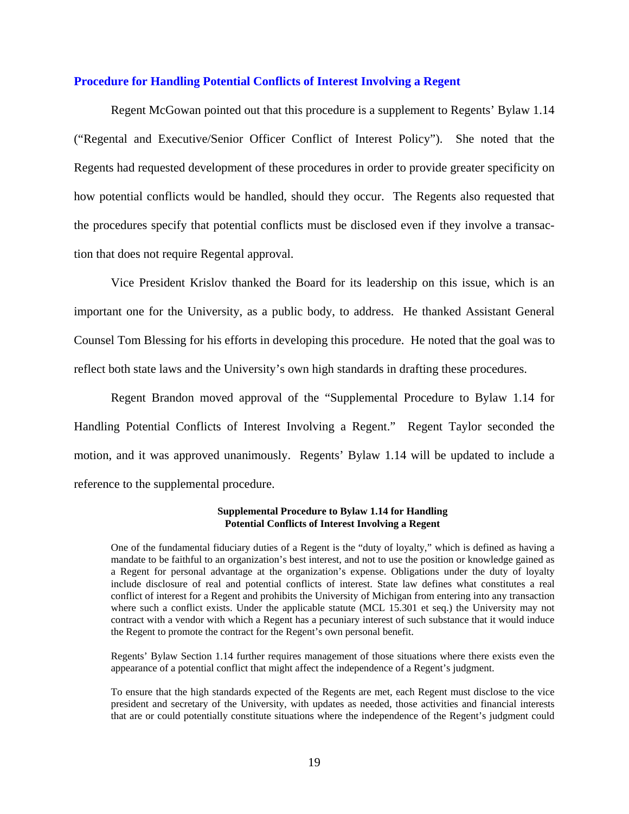### **Procedure for Handling Potential Conflicts of Interest Involving a Regent**

Regent McGowan pointed out that this procedure is a supplement to Regents' Bylaw 1.14 ("Regental and Executive/Senior Officer Conflict of Interest Policy"). She noted that the Regents had requested development of these procedures in order to provide greater specificity on how potential conflicts would be handled, should they occur. The Regents also requested that the procedures specify that potential conflicts must be disclosed even if they involve a transaction that does not require Regental approval.

Vice President Krislov thanked the Board for its leadership on this issue, which is an important one for the University, as a public body, to address. He thanked Assistant General Counsel Tom Blessing for his efforts in developing this procedure. He noted that the goal was to reflect both state laws and the University's own high standards in drafting these procedures.

Regent Brandon moved approval of the "Supplemental Procedure to Bylaw 1.14 for Handling Potential Conflicts of Interest Involving a Regent." Regent Taylor seconded the motion, and it was approved unanimously. Regents' Bylaw 1.14 will be updated to include a reference to the supplemental procedure.

#### **Supplemental Procedure to Bylaw 1.14 for Handling Potential Conflicts of Interest Involving a Regent**

One of the fundamental fiduciary duties of a Regent is the "duty of loyalty," which is defined as having a mandate to be faithful to an organization's best interest, and not to use the position or knowledge gained as a Regent for personal advantage at the organization's expense. Obligations under the duty of loyalty include disclosure of real and potential conflicts of interest. State law defines what constitutes a real conflict of interest for a Regent and prohibits the University of Michigan from entering into any transaction where such a conflict exists. Under the applicable statute (MCL 15.301 et seq.) the University may not contract with a vendor with which a Regent has a pecuniary interest of such substance that it would induce the Regent to promote the contract for the Regent's own personal benefit.

Regents' Bylaw Section 1.14 further requires management of those situations where there exists even the appearance of a potential conflict that might affect the independence of a Regent's judgment.

To ensure that the high standards expected of the Regents are met, each Regent must disclose to the vice president and secretary of the University, with updates as needed, those activities and financial interests that are or could potentially constitute situations where the independence of the Regent's judgment could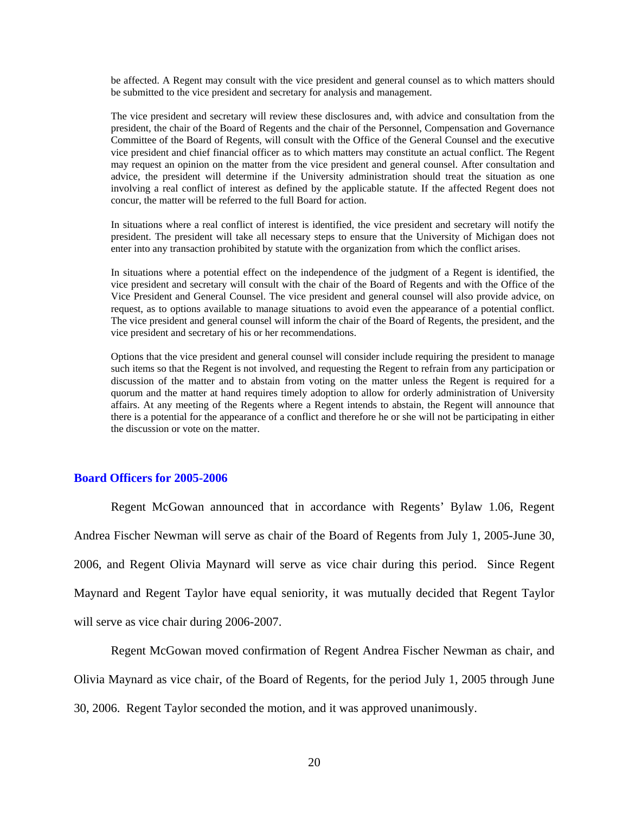be affected. A Regent may consult with the vice president and general counsel as to which matters should be submitted to the vice president and secretary for analysis and management.

The vice president and secretary will review these disclosures and, with advice and consultation from the president, the chair of the Board of Regents and the chair of the Personnel, Compensation and Governance Committee of the Board of Regents, will consult with the Office of the General Counsel and the executive vice president and chief financial officer as to which matters may constitute an actual conflict. The Regent may request an opinion on the matter from the vice president and general counsel. After consultation and advice, the president will determine if the University administration should treat the situation as one involving a real conflict of interest as defined by the applicable statute. If the affected Regent does not concur, the matter will be referred to the full Board for action.

In situations where a real conflict of interest is identified, the vice president and secretary will notify the president. The president will take all necessary steps to ensure that the University of Michigan does not enter into any transaction prohibited by statute with the organization from which the conflict arises.

In situations where a potential effect on the independence of the judgment of a Regent is identified, the vice president and secretary will consult with the chair of the Board of Regents and with the Office of the Vice President and General Counsel. The vice president and general counsel will also provide advice, on request, as to options available to manage situations to avoid even the appearance of a potential conflict. The vice president and general counsel will inform the chair of the Board of Regents, the president, and the vice president and secretary of his or her recommendations.

Options that the vice president and general counsel will consider include requiring the president to manage such items so that the Regent is not involved, and requesting the Regent to refrain from any participation or discussion of the matter and to abstain from voting on the matter unless the Regent is required for a quorum and the matter at hand requires timely adoption to allow for orderly administration of University affairs. At any meeting of the Regents where a Regent intends to abstain, the Regent will announce that there is a potential for the appearance of a conflict and therefore he or she will not be participating in either the discussion or vote on the matter.

### **Board Officers for 2005-2006**

Regent McGowan announced that in accordance with Regents' Bylaw 1.06, Regent Andrea Fischer Newman will serve as chair of the Board of Regents from July 1, 2005-June 30, 2006, and Regent Olivia Maynard will serve as vice chair during this period. Since Regent Maynard and Regent Taylor have equal seniority, it was mutually decided that Regent Taylor will serve as vice chair during 2006-2007.

Regent McGowan moved confirmation of Regent Andrea Fischer Newman as chair, and Olivia Maynard as vice chair, of the Board of Regents, for the period July 1, 2005 through June 30, 2006. Regent Taylor seconded the motion, and it was approved unanimously.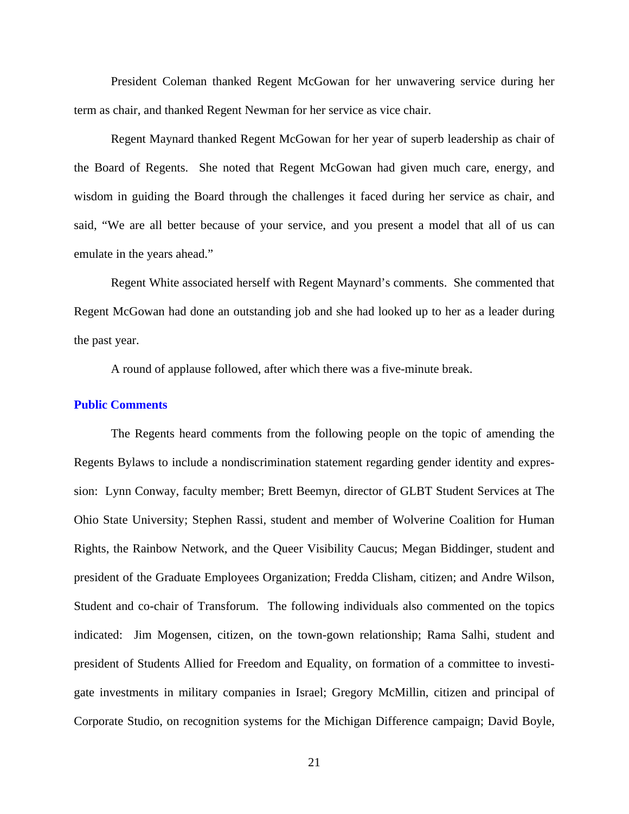President Coleman thanked Regent McGowan for her unwavering service during her term as chair, and thanked Regent Newman for her service as vice chair.

Regent Maynard thanked Regent McGowan for her year of superb leadership as chair of the Board of Regents. She noted that Regent McGowan had given much care, energy, and wisdom in guiding the Board through the challenges it faced during her service as chair, and said, "We are all better because of your service, and you present a model that all of us can emulate in the years ahead."

Regent White associated herself with Regent Maynard's comments. She commented that Regent McGowan had done an outstanding job and she had looked up to her as a leader during the past year.

A round of applause followed, after which there was a five-minute break.

### **Public Comments**

The Regents heard comments from the following people on the topic of amending the Regents Bylaws to include a nondiscrimination statement regarding gender identity and expression: Lynn Conway, faculty member; Brett Beemyn, director of GLBT Student Services at The Ohio State University; Stephen Rassi, student and member of Wolverine Coalition for Human Rights, the Rainbow Network, and the Queer Visibility Caucus; Megan Biddinger, student and president of the Graduate Employees Organization; Fredda Clisham, citizen; and Andre Wilson, Student and co-chair of Transforum. The following individuals also commented on the topics indicated: Jim Mogensen, citizen, on the town-gown relationship; Rama Salhi, student and president of Students Allied for Freedom and Equality, on formation of a committee to investigate investments in military companies in Israel; Gregory McMillin, citizen and principal of Corporate Studio, on recognition systems for the Michigan Difference campaign; David Boyle,